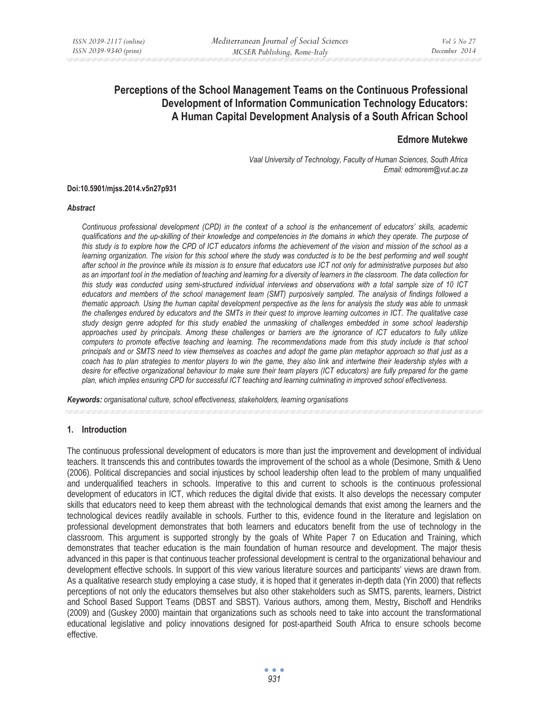# **Perceptions of the School Management Teams on the Continuous Professional Development of Information Communication Technology Educators: A Human Capital Development Analysis of a South African School**

### **Edmore Mutekwe**

*Vaal University of Technology, Faculty of Human Sciences, South Africa Email: edmorem@vut.ac.za* 

#### **Doi:10.5901/mjss.2014.v5n27p931**

#### *Abstract*

*Continuous professional development (CPD) in the context of a school is the enhancement of educators' skills, academic qualifications and the up-skilling of their knowledge and competencies in the domains in which they operate. The purpose of this study is to explore how the CPD of ICT educators informs the achievement of the vision and mission of the school as a*  learning organization. The vision for this school where the study was conducted is to be the best performing and well sought *after school in the province while its mission is to ensure that educators use ICT not only for administrative purposes but also*  as an important tool in the mediation of teaching and learning for a diversity of learners in the classroom. The data collection for *this study was conducted using semi-structured individual interviews and observations with a total sample size of 10 ICT educators and members of the school management team (SMT) purposively sampled. The analysis of findings followed a thematic approach. Using the human capital development perspective as the lens for analysis the study was able to unmask the challenges endured by educators and the SMTs in their quest to improve learning outcomes in ICT. The qualitative case study design genre adopted for this study enabled the unmasking of challenges embedded in some school leadership approaches used by principals. Among these challenges or barriers are the ignorance of ICT educators to fully utilize*  computers to promote effective teaching and learning. The recommendations made from this study include is that school *principals and or SMTS need to view themselves as coaches and adopt the game plan metaphor approach so that just as a coach has to plan strategies to mentor players to win the game, they also link and intertwine their leadership styles with a desire for effective organizational behaviour to make sure their team players (ICT educators) are fully prepared for the game plan, which implies ensuring CPD for successful ICT teaching and learning culminating in improved school effectiveness.* 

*Keywords: organisational culture, school effectiveness, stakeholders, learning organisations*

#### **1. Introduction**

The continuous professional development of educators is more than just the improvement and development of individual teachers. It transcends this and contributes towards the improvement of the school as a whole (Desimone, Smith & Ueno (2006). Political discrepancies and social injustices by school leadership often lead to the problem of many unqualified and underqualified teachers in schools. Imperative to this and current to schools is the continuous professional development of educators in ICT, which reduces the digital divide that exists. It also develops the necessary computer skills that educators need to keep them abreast with the technological demands that exist among the learners and the technological devices readily available in schools. Further to this, evidence found in the literature and legislation on professional development demonstrates that both learners and educators benefit from the use of technology in the classroom. This argument is supported strongly by the goals of White Paper 7 on Education and Training, which demonstrates that teacher education is the main foundation of human resource and development. The major thesis advanced in this paper is that continuous teacher professional development is central to the organizational behaviour and development effective schools. In support of this view various literature sources and participants' views are drawn from. As a qualitative research study employing a case study, it is hoped that it generates in-depth data (Yin 2000) that reflects perceptions of not only the educators themselves but also other stakeholders such as SMTS, parents, learners, District and School Based Support Teams (DBST and SBST). Various authors, among them, Mestry**,** Bischoff and Hendriks (2009) and (Guskey 2000) maintain that organizations such as schools need to take into account the transformational educational legislative and policy innovations designed for post-apartheid South Africa to ensure schools become effective.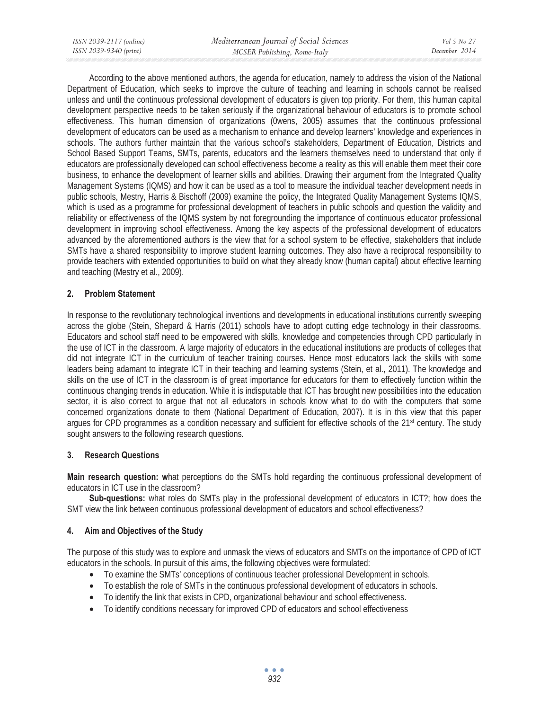| ISSN 2039-2117 (online) | Mediterranean Journal of Social Sciences | Vol 5 No 27   |
|-------------------------|------------------------------------------|---------------|
| ISSN 2039-9340 (print)  | MCSER Publishing, Rome-Italy             | December 2014 |

According to the above mentioned authors, the agenda for education, namely to address the vision of the National Department of Education, which seeks to improve the culture of teaching and learning in schools cannot be realised unless and until the continuous professional development of educators is given top priority. For them, this human capital development perspective needs to be taken seriously if the organizational behaviour of educators is to promote school effectiveness. This human dimension of organizations (0wens, 2005) assumes that the continuous professional development of educators can be used as a mechanism to enhance and develop learners' knowledge and experiences in schools. The authors further maintain that the various school's stakeholders, Department of Education, Districts and School Based Support Teams, SMTs, parents, educators and the learners themselves need to understand that only if educators are professionally developed can school effectiveness become a reality as this will enable them meet their core business, to enhance the development of learner skills and abilities. Drawing their argument from the Integrated Quality Management Systems (IQMS) and how it can be used as a tool to measure the individual teacher development needs in public schools, Mestry, Harris & Bischoff (2009) examine the policy, the Integrated Quality Management Systems IQMS, which is used as a programme for professional development of teachers in public schools and question the validity and reliability or effectiveness of the IQMS system by not foregrounding the importance of continuous educator professional development in improving school effectiveness. Among the key aspects of the professional development of educators advanced by the aforementioned authors is the view that for a school system to be effective, stakeholders that include SMTs have a shared responsibility to improve student learning outcomes. They also have a reciprocal responsibility to provide teachers with extended opportunities to build on what they already know (human capital) about effective learning and teaching (Mestry et al., 2009).

### **2. Problem Statement**

In response to the revolutionary technological inventions and developments in educational institutions currently sweeping across the globe (Stein, Shepard & Harris (2011) schools have to adopt cutting edge technology in their classrooms. Educators and school staff need to be empowered with skills, knowledge and competencies through CPD particularly in the use of ICT in the classroom. A large majority of educators in the educational institutions are products of colleges that did not integrate ICT in the curriculum of teacher training courses. Hence most educators lack the skills with some leaders being adamant to integrate ICT in their teaching and learning systems (Stein, et al., 2011). The knowledge and skills on the use of ICT in the classroom is of great importance for educators for them to effectively function within the continuous changing trends in education. While it is indisputable that ICT has brought new possibilities into the education sector, it is also correct to argue that not all educators in schools know what to do with the computers that some concerned organizations donate to them (National Department of Education, 2007). It is in this view that this paper argues for CPD programmes as a condition necessary and sufficient for effective schools of the 21<sup>st</sup> century. The study sought answers to the following research questions.

### **3. Research Questions**

**Main research question: w**hat perceptions do the SMTs hold regarding the continuous professional development of educators in ICT use in the classroom?

**Sub-questions:** what roles do SMTs play in the professional development of educators in ICT?; how does the SMT view the link between continuous professional development of educators and school effectiveness?

### **4. Aim and Objectives of the Study**

The purpose of this study was to explore and unmask the views of educators and SMTs on the importance of CPD of ICT educators in the schools. In pursuit of this aims, the following objectives were formulated:

- To examine the SMTs' conceptions of continuous teacher professional Development in schools.
- To establish the role of SMTs in the continuous professional development of educators in schools.
- To identify the link that exists in CPD, organizational behaviour and school effectiveness.
- To identify conditions necessary for improved CPD of educators and school effectiveness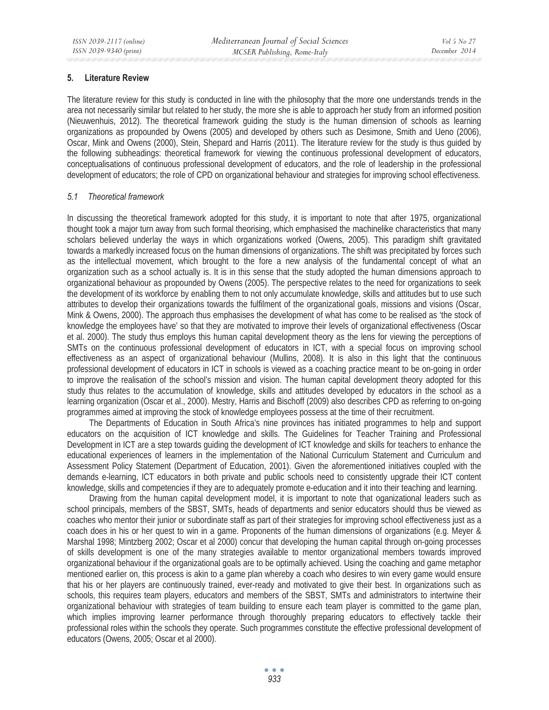### **5. Literature Review**

The literature review for this study is conducted in line with the philosophy that the more one understands trends in the area not necessarily similar but related to her study, the more she is able to approach her study from an informed position (Nieuwenhuis, 2012). The theoretical framework guiding the study is the human dimension of schools as learning organizations as propounded by Owens (2005) and developed by others such as Desimone, Smith and Ueno (2006), Oscar, Mink and Owens (2000), Stein, Shepard and Harris (2011). The literature review for the study is thus guided by the following subheadings: theoretical framework for viewing the continuous professional development of educators, conceptualisations of continuous professional development of educators, and the role of leadership in the professional development of educators; the role of CPD on organizational behaviour and strategies for improving school effectiveness.

#### *5.1 Theoretical framework*

In discussing the theoretical framework adopted for this study, it is important to note that after 1975, organizational thought took a major turn away from such formal theorising, which emphasised the machinelike characteristics that many scholars believed underlay the ways in which organizations worked (Owens, 2005). This paradigm shift gravitated towards a markedly increased focus on the human dimensions of organizations. The shift was precipitated by forces such as the intellectual movement, which brought to the fore a new analysis of the fundamental concept of what an organization such as a school actually is. It is in this sense that the study adopted the human dimensions approach to organizational behaviour as propounded by Owens (2005). The perspective relates to the need for organizations to seek the development of its workforce by enabling them to not only accumulate knowledge, skills and attitudes but to use such attributes to develop their organizations towards the fulfilment of the organizational goals, missions and visions (Oscar, Mink & Owens, 2000). The approach thus emphasises the development of what has come to be realised as 'the stock of knowledge the employees have' so that they are motivated to improve their levels of organizational effectiveness (Oscar et al. 2000). The study thus employs this human capital development theory as the lens for viewing the perceptions of SMTs on the continuous professional development of educators in ICT, with a special focus on improving school effectiveness as an aspect of organizational behaviour (Mullins, 2008). It is also in this light that the continuous professional development of educators in ICT in schools is viewed as a coaching practice meant to be on-going in order to improve the realisation of the school's mission and vision. The human capital development theory adopted for this study thus relates to the accumulation of knowledge, skills and attitudes developed by educators in the school as a learning organization (Oscar et al., 2000). Mestry, Harris and Bischoff (2009) also describes CPD as referring to on-going programmes aimed at improving the stock of knowledge employees possess at the time of their recruitment.

The Departments of Education in South Africa's nine provinces has initiated programmes to help and support educators on the acquisition of ICT knowledge and skills. The Guidelines for Teacher Training and Professional Development in ICT are a step towards guiding the development of ICT knowledge and skills for teachers to enhance the educational experiences of learners in the implementation of the National Curriculum Statement and Curriculum and Assessment Policy Statement (Department of Education, 2001). Given the aforementioned initiatives coupled with the demands e-learning, ICT educators in both private and public schools need to consistently upgrade their ICT content knowledge, skills and competencies if they are to adequately promote e-education and it into their teaching and learning.

Drawing from the human capital development model, it is important to note that oganizational leaders such as school principals, members of the SBST, SMTs, heads of departments and senior educators should thus be viewed as coaches who mentor their junior or subordinate staff as part of their strategies for improving school effectiveness just as a coach does in his or her quest to win in a game. Proponents of the human dimensions of organizations (e.g. Meyer & Marshal 1998; Mintzberg 2002; Oscar et al 2000) concur that developing the human capital through on-going processes of skills development is one of the many strategies available to mentor organizational members towards improved organizational behaviour if the organizational goals are to be optimally achieved. Using the coaching and game metaphor mentioned earlier on, this process is akin to a game plan whereby a coach who desires to win every game would ensure that his or her players are continuously trained, ever-ready and motivated to give their best. In organizations such as schools, this requires team players, educators and members of the SBST, SMTs and administrators to intertwine their organizational behaviour with strategies of team building to ensure each team player is committed to the game plan, which implies improving learner performance through thoroughly preparing educators to effectively tackle their professional roles within the schools they operate. Such programmes constitute the effective professional development of educators (Owens, 2005; Oscar et al 2000).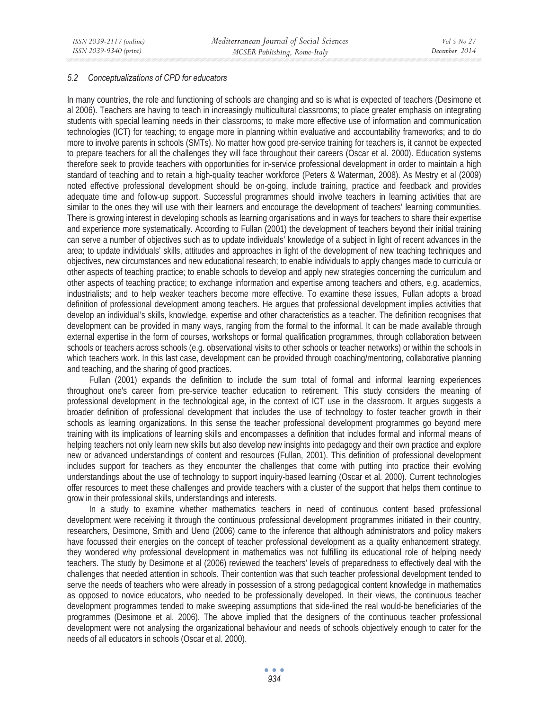#### *5.2 Conceptualizations of CPD for educators*

In many countries, the role and functioning of schools are changing and so is what is expected of teachers (Desimone et al 2006). Teachers are having to teach in increasingly multicultural classrooms; to place greater emphasis on integrating students with special learning needs in their classrooms; to make more effective use of information and communication technologies (ICT) for teaching; to engage more in planning within evaluative and accountability frameworks; and to do more to involve parents in schools (SMTs). No matter how good pre-service training for teachers is, it cannot be expected to prepare teachers for all the challenges they will face throughout their careers (Oscar et al. 2000). Education systems therefore seek to provide teachers with opportunities for in-service professional development in order to maintain a high standard of teaching and to retain a high-quality teacher workforce (Peters & Waterman, 2008). As Mestry et al (2009) noted effective professional development should be on-going, include training, practice and feedback and provides adequate time and follow-up support. Successful programmes should involve teachers in learning activities that are similar to the ones they will use with their learners and encourage the development of teachers' learning communities. There is growing interest in developing schools as learning organisations and in ways for teachers to share their expertise and experience more systematically. According to Fullan (2001) the development of teachers beyond their initial training can serve a number of objectives such as to update individuals' knowledge of a subject in light of recent advances in the area; to update individuals' skills, attitudes and approaches in light of the development of new teaching techniques and objectives, new circumstances and new educational research; to enable individuals to apply changes made to curricula or other aspects of teaching practice; to enable schools to develop and apply new strategies concerning the curriculum and other aspects of teaching practice; to exchange information and expertise among teachers and others, e.g. academics, industrialists; and to help weaker teachers become more effective. To examine these issues, Fullan adopts a broad definition of professional development among teachers. He argues that professional development implies activities that develop an individual's skills, knowledge, expertise and other characteristics as a teacher. The definition recognises that development can be provided in many ways, ranging from the formal to the informal. It can be made available through external expertise in the form of courses, workshops or formal qualification programmes, through collaboration between schools or teachers across schools (e.g. observational visits to other schools or teacher networks) or within the schools in which teachers work. In this last case, development can be provided through coaching/mentoring, collaborative planning and teaching, and the sharing of good practices.

Fullan (2001) expands the definition to include the sum total of formal and informal learning experiences throughout one's career from pre-service teacher education to retirement. This study considers the meaning of professional development in the technological age, in the context of ICT use in the classroom. It argues suggests a broader definition of professional development that includes the use of technology to foster teacher growth in their schools as learning organizations. In this sense the teacher professional development programmes go beyond mere training with its implications of learning skills and encompasses a definition that includes formal and informal means of helping teachers not only learn new skills but also develop new insights into pedagogy and their own practice and explore new or advanced understandings of content and resources (Fullan, 2001). This definition of professional development includes support for teachers as they encounter the challenges that come with putting into practice their evolving understandings about the use of technology to support inquiry-based learning (Oscar et al. 2000). Current technologies offer resources to meet these challenges and provide teachers with a cluster of the support that helps them continue to grow in their professional skills, understandings and interests.

In a study to examine whether mathematics teachers in need of continuous content based professional development were receiving it through the continuous professional development programmes initiated in their country, researchers, Desimone, Smith and Ueno (2006) came to the inference that although administrators and policy makers have focussed their energies on the concept of teacher professional development as a quality enhancement strategy, they wondered why professional development in mathematics was not fulfilling its educational role of helping needy teachers. The study by Desimone et al (2006) reviewed the teachers' levels of preparedness to effectively deal with the challenges that needed attention in schools. Their contention was that such teacher professional development tended to serve the needs of teachers who were already in possession of a strong pedagogical content knowledge in mathematics as opposed to novice educators, who needed to be professionally developed. In their views, the continuous teacher development programmes tended to make sweeping assumptions that side-lined the real would-be beneficiaries of the programmes (Desimone et al. 2006). The above implied that the designers of the continuous teacher professional development were not analysing the organizational behaviour and needs of schools objectively enough to cater for the needs of all educators in schools (Oscar et al. 2000).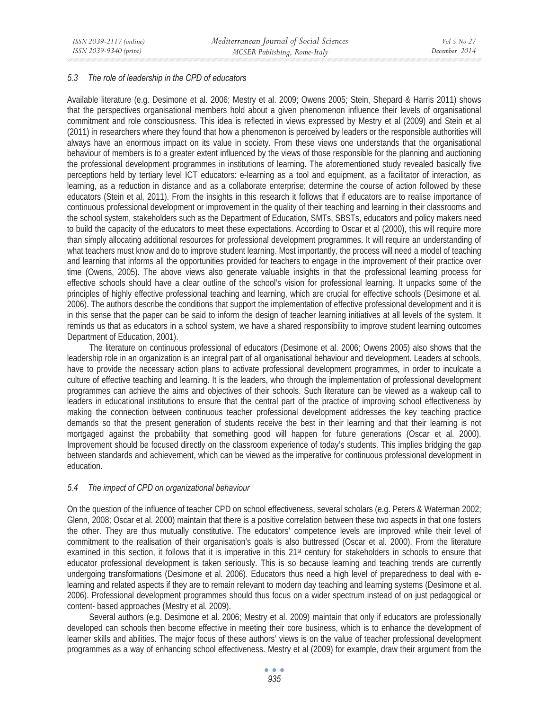### *5.3 The role of leadership in the CPD of educators*

Available literature (e.g. Desimone et al. 2006; Mestry et al. 2009; Owens 2005; Stein, Shepard & Harris 2011) shows that the perspectives organisational members hold about a given phenomenon influence their levels of organisational commitment and role consciousness. This idea is reflected in views expressed by Mestry et al (2009) and Stein et al (2011) in researchers where they found that how a phenomenon is perceived by leaders or the responsible authorities will always have an enormous impact on its value in society. From these views one understands that the organisational behaviour of members is to a greater extent influenced by the views of those responsible for the planning and auctioning the professional development programmes in institutions of learning. The aforementioned study revealed basically five perceptions held by tertiary level ICT educators: e-learning as a tool and equipment, as a facilitator of interaction, as learning, as a reduction in distance and as a collaborate enterprise; determine the course of action followed by these educators (Stein et al, 2011). From the insights in this research it follows that if educators are to realise importance of continuous professional development or improvement in the quality of their teaching and learning in their classrooms and the school system, stakeholders such as the Department of Education, SMTs, SBSTs, educators and policy makers need to build the capacity of the educators to meet these expectations. According to Oscar et al (2000), this will require more than simply allocating additional resources for professional development programmes. It will require an understanding of what teachers must know and do to improve student learning. Most importantly, the process will need a model of teaching and learning that informs all the opportunities provided for teachers to engage in the improvement of their practice over time (Owens, 2005). The above views also generate valuable insights in that the professional learning process for effective schools should have a clear outline of the school's vision for professional learning. It unpacks some of the principles of highly effective professional teaching and learning, which are crucial for effective schools (Desimone et al. 2006). The authors describe the conditions that support the implementation of effective professional development and it is in this sense that the paper can be said to inform the design of teacher learning initiatives at all levels of the system. It reminds us that as educators in a school system, we have a shared responsibility to improve student learning outcomes Department of Education, 2001).

The literature on continuous professional of educators (Desimone et al. 2006; Owens 2005) also shows that the leadership role in an organization is an integral part of all organisational behaviour and development. Leaders at schools, have to provide the necessary action plans to activate professional development programmes, in order to inculcate a culture of effective teaching and learning. It is the leaders, who through the implementation of professional development programmes can achieve the aims and objectives of their schools. Such literature can be viewed as a wakeup call to leaders in educational institutions to ensure that the central part of the practice of improving school effectiveness by making the connection between continuous teacher professional development addresses the key teaching practice demands so that the present generation of students receive the best in their learning and that their learning is not mortgaged against the probability that something good will happen for future generations (Oscar et al. 2000). Improvement should be focused directly on the classroom experience of today's students. This implies bridging the gap between standards and achievement, which can be viewed as the imperative for continuous professional development in education.

### *5.4 The impact of CPD on organizational behaviour*

On the question of the influence of teacher CPD on school effectiveness, several scholars (e.g. Peters & Waterman 2002; Glenn, 2008; Oscar et al. 2000) maintain that there is a positive correlation between these two aspects in that one fosters the other. They are thus mutually constitutive. The educators' competence levels are improved while their level of commitment to the realisation of their organisation's goals is also buttressed (Oscar et al. 2000). From the literature examined in this section, it follows that it is imperative in this 21<sup>st</sup> century for stakeholders in schools to ensure that educator professional development is taken seriously. This is so because learning and teaching trends are currently undergoing transformations (Desimone et al. 2006). Educators thus need a high level of preparedness to deal with elearning and related aspects if they are to remain relevant to modern day teaching and learning systems (Desimone et al. 2006). Professional development programmes should thus focus on a wider spectrum instead of on just pedagogical or content- based approaches (Mestry et al. 2009).

Several authors (e.g. Desimone et al. 2006; Mestry et al. 2009) maintain that only if educators are professionally developed can schools then become effective in meeting their core business, which is to enhance the development of learner skills and abilities. The major focus of these authors' views is on the value of teacher professional development programmes as a way of enhancing school effectiveness. Mestry et al (2009) for example, draw their argument from the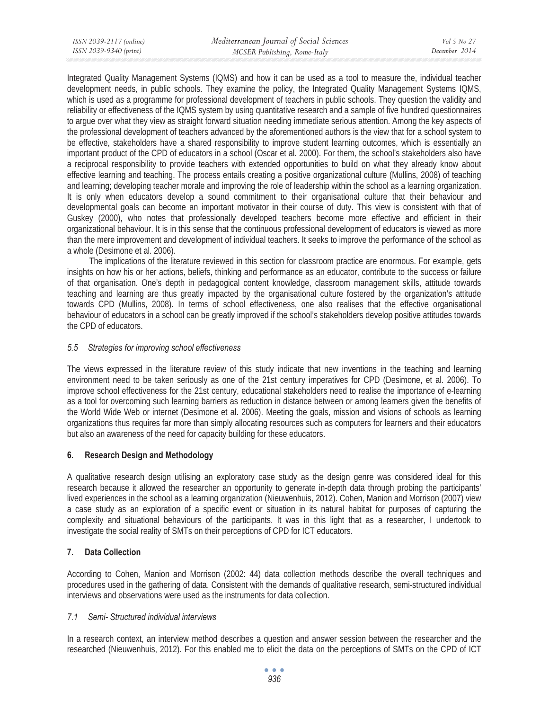Integrated Quality Management Systems (IQMS) and how it can be used as a tool to measure the, individual teacher development needs, in public schools. They examine the policy, the Integrated Quality Management Systems IQMS, which is used as a programme for professional development of teachers in public schools. They question the validity and reliability or effectiveness of the IQMS system by using quantitative research and a sample of five hundred questionnaires to argue over what they view as straight forward situation needing immediate serious attention. Among the key aspects of the professional development of teachers advanced by the aforementioned authors is the view that for a school system to be effective, stakeholders have a shared responsibility to improve student learning outcomes, which is essentially an important product of the CPD of educators in a school (Oscar et al. 2000). For them, the school's stakeholders also have a reciprocal responsibility to provide teachers with extended opportunities to build on what they already know about effective learning and teaching. The process entails creating a positive organizational culture (Mullins, 2008) of teaching and learning; developing teacher morale and improving the role of leadership within the school as a learning organization. It is only when educators develop a sound commitment to their organisational culture that their behaviour and developmental goals can become an important motivator in their course of duty. This view is consistent with that of Guskey (2000), who notes that professionally developed teachers become more effective and efficient in their organizational behaviour. It is in this sense that the continuous professional development of educators is viewed as more than the mere improvement and development of individual teachers. It seeks to improve the performance of the school as a whole (Desimone et al. 2006).

The implications of the literature reviewed in this section for classroom practice are enormous. For example, gets insights on how his or her actions, beliefs, thinking and performance as an educator, contribute to the success or failure of that organisation. One's depth in pedagogical content knowledge, classroom management skills, attitude towards teaching and learning are thus greatly impacted by the organisational culture fostered by the organization's attitude towards CPD (Mullins, 2008). In terms of school effectiveness, one also realises that the effective organisational behaviour of educators in a school can be greatly improved if the school's stakeholders develop positive attitudes towards the CPD of educators.

# *5.5 Strategies for improving school effectiveness*

The views expressed in the literature review of this study indicate that new inventions in the teaching and learning environment need to be taken seriously as one of the 21st century imperatives for CPD (Desimone, et al. 2006). To improve school effectiveness for the 21st century, educational stakeholders need to realise the importance of e-learning as a tool for overcoming such learning barriers as reduction in distance between or among learners given the benefits of the World Wide Web or internet (Desimone et al. 2006). Meeting the goals, mission and visions of schools as learning organizations thus requires far more than simply allocating resources such as computers for learners and their educators but also an awareness of the need for capacity building for these educators.

# **6. Research Design and Methodology**

A qualitative research design utilising an exploratory case study as the design genre was considered ideal for this research because it allowed the researcher an opportunity to generate in-depth data through probing the participants' lived experiences in the school as a learning organization (Nieuwenhuis, 2012). Cohen, Manion and Morrison (2007) view a case study as an exploration of a specific event or situation in its natural habitat for purposes of capturing the complexity and situational behaviours of the participants. It was in this light that as a researcher, I undertook to investigate the social reality of SMTs on their perceptions of CPD for ICT educators.

# **7. Data Collection**

According to Cohen, Manion and Morrison (2002: 44) data collection methods describe the overall techniques and procedures used in the gathering of data. Consistent with the demands of qualitative research, semi-structured individual interviews and observations were used as the instruments for data collection.

### *7.1 Semi- Structured individual interviews*

In a research context, an interview method describes a question and answer session between the researcher and the researched (Nieuwenhuis, 2012). For this enabled me to elicit the data on the perceptions of SMTs on the CPD of ICT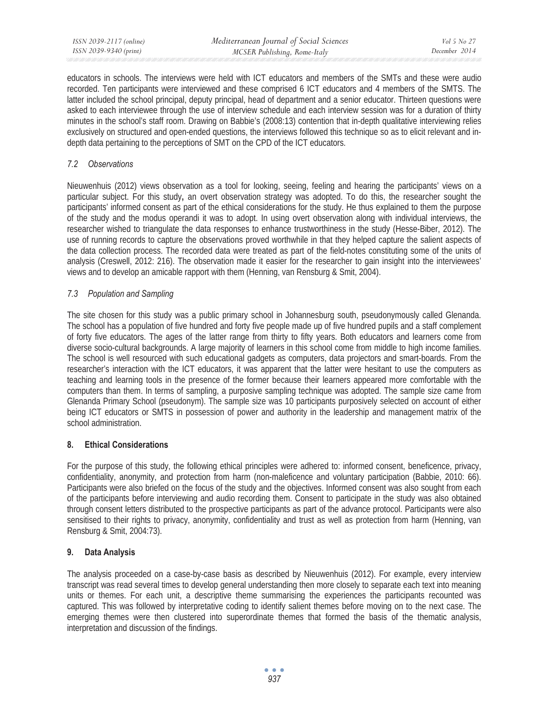educators in schools. The interviews were held with ICT educators and members of the SMTs and these were audio recorded. Ten participants were interviewed and these comprised 6 ICT educators and 4 members of the SMTS. The latter included the school principal, deputy principal, head of department and a senior educator. Thirteen questions were asked to each interviewee through the use of interview schedule and each interview session was for a duration of thirty minutes in the school's staff room. Drawing on Babbie's (2008:13) contention that in-depth qualitative interviewing relies exclusively on structured and open-ended questions, the interviews followed this technique so as to elicit relevant and indepth data pertaining to the perceptions of SMT on the CPD of the ICT educators.

### *7.2 Observations*

Nieuwenhuis (2012) views observation as a tool for looking, seeing, feeling and hearing the participants' views on a particular subject. For this study**,** an overt observation strategy was adopted. To do this, the researcher sought the participants' informed consent as part of the ethical considerations for the study. He thus explained to them the purpose of the study and the modus operandi it was to adopt. In using overt observation along with individual interviews, the researcher wished to triangulate the data responses to enhance trustworthiness in the study (Hesse-Biber, 2012). The use of running records to capture the observations proved worthwhile in that they helped capture the salient aspects of the data collection process. The recorded data were treated as part of the field-notes constituting some of the units of analysis (Creswell, 2012: 216). The observation made it easier for the researcher to gain insight into the interviewees' views and to develop an amicable rapport with them (Henning, van Rensburg & Smit, 2004).

### *7.3 Population and Sampling*

The site chosen for this study was a public primary school in Johannesburg south, pseudonymously called Glenanda. The school has a population of five hundred and forty five people made up of five hundred pupils and a staff complement of forty five educators. The ages of the latter range from thirty to fifty years. Both educators and learners come from diverse socio-cultural backgrounds. A large majority of learners in this school come from middle to high income families. The school is well resourced with such educational gadgets as computers, data projectors and smart-boards. From the researcher's interaction with the ICT educators, it was apparent that the latter were hesitant to use the computers as teaching and learning tools in the presence of the former because their learners appeared more comfortable with the computers than them. In terms of sampling, a purposive sampling technique was adopted. The sample size came from Glenanda Primary School (pseudonym). The sample size was 10 participants purposively selected on account of either being ICT educators or SMTS in possession of power and authority in the leadership and management matrix of the school administration.

# **8. Ethical Considerations**

For the purpose of this study, the following ethical principles were adhered to: informed consent, beneficence, privacy, confidentiality, anonymity, and protection from harm (non-maleficence and voluntary participation (Babbie, 2010: 66). Participants were also briefed on the focus of the study and the objectives. Informed consent was also sought from each of the participants before interviewing and audio recording them. Consent to participate in the study was also obtained through consent letters distributed to the prospective participants as part of the advance protocol. Participants were also sensitised to their rights to privacy, anonymity, confidentiality and trust as well as protection from harm (Henning, van Rensburg & Smit, 2004:73).

# **9. Data Analysis**

The analysis proceeded on a case-by-case basis as described by Nieuwenhuis (2012). For example, every interview transcript was read several times to develop general understanding then more closely to separate each text into meaning units or themes. For each unit, a descriptive theme summarising the experiences the participants recounted was captured. This was followed by interpretative coding to identify salient themes before moving on to the next case. The emerging themes were then clustered into superordinate themes that formed the basis of the thematic analysis, interpretation and discussion of the findings.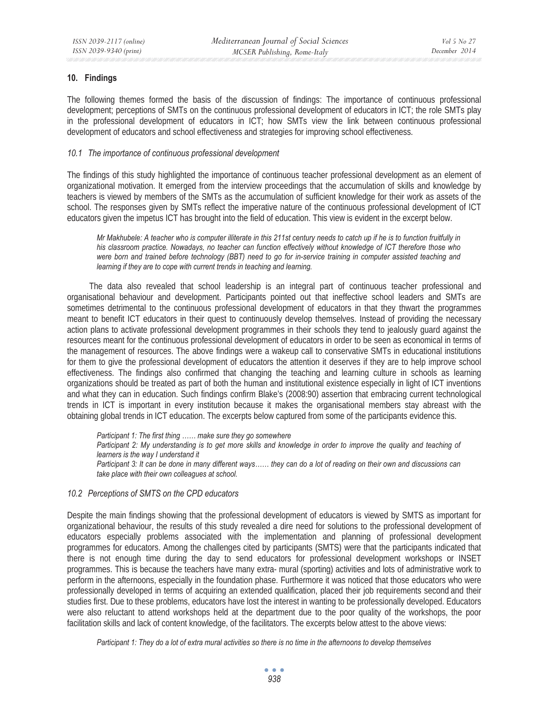### **10. Findings**

The following themes formed the basis of the discussion of findings: The importance of continuous professional development; perceptions of SMTs on the continuous professional development of educators in ICT; the role SMTs play in the professional development of educators in ICT; how SMTs view the link between continuous professional development of educators and school effectiveness and strategies for improving school effectiveness.

### *10.1 The importance of continuous professional development*

The findings of this study highlighted the importance of continuous teacher professional development as an element of organizational motivation. It emerged from the interview proceedings that the accumulation of skills and knowledge by teachers is viewed by members of the SMTs as the accumulation of sufficient knowledge for their work as assets of the school. The responses given by SMTs reflect the imperative nature of the continuous professional development of ICT educators given the impetus ICT has brought into the field of education. This view is evident in the excerpt below.

*Mr Makhubele: A teacher who is computer illiterate in this 211st century needs to catch up if he is to function fruitfully in his classroom practice. Nowadays, no teacher can function effectively without knowledge of ICT therefore those who were born and trained before technology (BBT) need to go for in-service training in computer assisted teaching and learning if they are to cope with current trends in teaching and learning.* 

The data also revealed that school leadership is an integral part of continuous teacher professional and organisational behaviour and development. Participants pointed out that ineffective school leaders and SMTs are sometimes detrimental to the continuous professional development of educators in that they thwart the programmes meant to benefit ICT educators in their quest to continuously develop themselves. Instead of providing the necessary action plans to activate professional development programmes in their schools they tend to jealously guard against the resources meant for the continuous professional development of educators in order to be seen as economical in terms of the management of resources. The above findings were a wakeup call to conservative SMTs in educational institutions for them to give the professional development of educators the attention it deserves if they are to help improve school effectiveness. The findings also confirmed that changing the teaching and learning culture in schools as learning organizations should be treated as part of both the human and institutional existence especially in light of ICT inventions and what they can in education. Such findings confirm Blake's (2008:90) assertion that embracing current technological trends in ICT is important in every institution because it makes the organisational members stay abreast with the obtaining global trends in ICT education. The excerpts below captured from some of the participants evidence this.

*Participant 1: The first thing …… make sure they go somewhere Participant 2: My understanding is to get more skills and knowledge in order to improve the quality and teaching of learners is the way I understand it Participant 3: It can be done in many different ways…… they can do a lot of reading on their own and discussions can take place with their own colleagues at school.* 

### *10.2 Perceptions of SMTS on the CPD educators*

Despite the main findings showing that the professional development of educators is viewed by SMTS as important for organizational behaviour, the results of this study revealed a dire need for solutions to the professional development of educators especially problems associated with the implementation and planning of professional development programmes for educators. Among the challenges cited by participants (SMTS) were that the participants indicated that there is not enough time during the day to send educators for professional development workshops or INSET programmes. This is because the teachers have many extra- mural (sporting) activities and lots of administrative work to perform in the afternoons, especially in the foundation phase. Furthermore it was noticed that those educators who were professionally developed in terms of acquiring an extended qualification, placed their job requirements second and their studies first. Due to these problems, educators have lost the interest in wanting to be professionally developed. Educators were also reluctant to attend workshops held at the department due to the poor quality of the workshops, the poor facilitation skills and lack of content knowledge, of the facilitators. The excerpts below attest to the above views:

*Participant 1: They do a lot of extra mural activities so there is no time in the afternoons to develop themselves*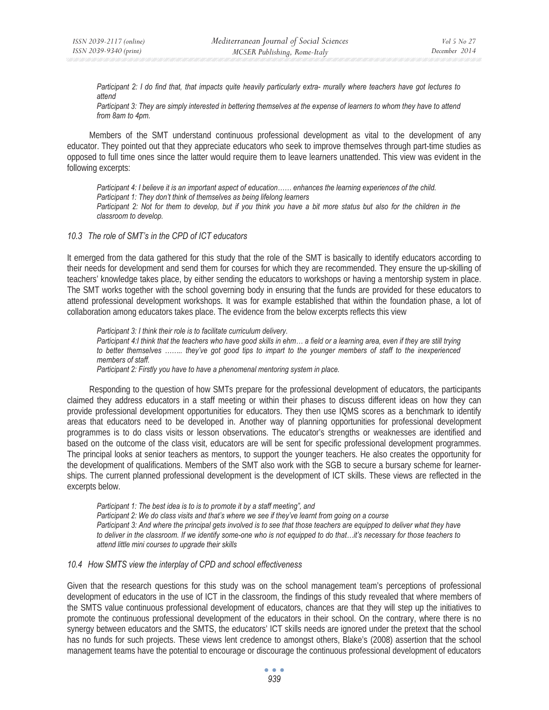*Participant 2: I do find that, that impacts quite heavily particularly extra- murally where teachers have got lectures to attend* 

*Participant 3: They are simply interested in bettering themselves at the expense of learners to whom they have to attend from 8am to 4pm.* 

Members of the SMT understand continuous professional development as vital to the development of any educator. They pointed out that they appreciate educators who seek to improve themselves through part-time studies as opposed to full time ones since the latter would require them to leave learners unattended. This view was evident in the following excerpts:

*Participant 4: I believe it is an important aspect of education…… enhances the learning experiences of the child. Participant 1: They don't think of themselves as being lifelong learners Participant 2: Not for them to develop, but if you think you have a bit more status but also for the children in the classroom to develop.* 

### *10.3 The role of SMT's in the CPD of ICT educators*

It emerged from the data gathered for this study that the role of the SMT is basically to identify educators according to their needs for development and send them for courses for which they are recommended. They ensure the up-skilling of teachers' knowledge takes place, by either sending the educators to workshops or having a mentorship system in place. The SMT works together with the school governing body in ensuring that the funds are provided for these educators to attend professional development workshops. It was for example established that within the foundation phase, a lot of collaboration among educators takes place. The evidence from the below excerpts reflects this view

*Participant 3: I think their role is to facilitate curriculum delivery. Participant 4:I think that the teachers who have good skills in ehm… a field or a learning area, even if they are still trying to better themselves …….. they've got good tips to impart to the younger members of staff to the inexperienced members of staff. Participant 2: Firstly you have to have a phenomenal mentoring system in place.* 

Responding to the question of how SMTs prepare for the professional development of educators, the participants claimed they address educators in a staff meeting or within their phases to discuss different ideas on how they can provide professional development opportunities for educators. They then use IQMS scores as a benchmark to identify areas that educators need to be developed in. Another way of planning opportunities for professional development programmes is to do class visits or lesson observations. The educator's strengths or weaknesses are identified and based on the outcome of the class visit, educators are will be sent for specific professional development programmes. The principal looks at senior teachers as mentors, to support the younger teachers. He also creates the opportunity for the development of qualifications. Members of the SMT also work with the SGB to secure a bursary scheme for learnerships. The current planned professional development is the development of ICT skills. These views are reflected in the excerpts below.

*Participant 1: The best idea is to is to promote it by a staff meeting", and Participant 2: We do class visits and that's where we see if they've learnt from going on a course Participant 3: And where the principal gets involved is to see that those teachers are equipped to deliver what they have to deliver in the classroom. If we identify some-one who is not equipped to do that…it's necessary for those teachers to attend little mini courses to upgrade their skills* 

### *10.4 How SMTS view the interplay of CPD and school effectiveness*

Given that the research questions for this study was on the school management team's perceptions of professional development of educators in the use of ICT in the classroom, the findings of this study revealed that where members of the SMTS value continuous professional development of educators, chances are that they will step up the initiatives to promote the continuous professional development of the educators in their school. On the contrary, where there is no synergy between educators and the SMTS, the educators' ICT skills needs are ignored under the pretext that the school has no funds for such projects. These views lent credence to amongst others, Blake's (2008) assertion that the school management teams have the potential to encourage or discourage the continuous professional development of educators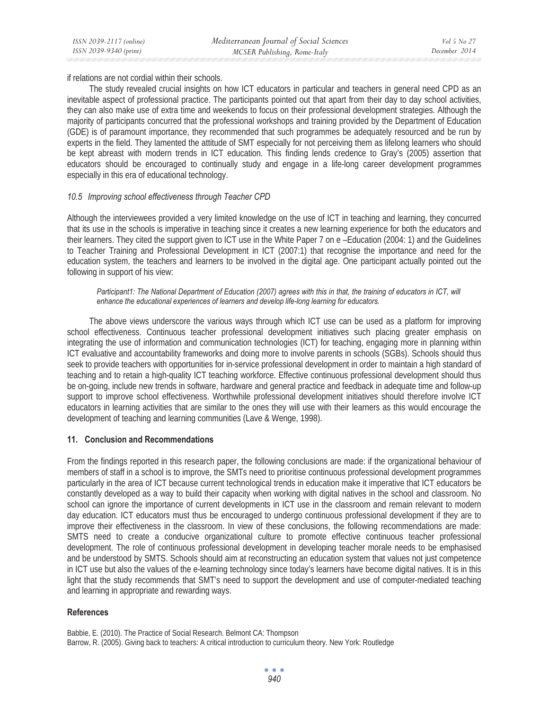if relations are not cordial within their schools.

The study revealed crucial insights on how ICT educators in particular and teachers in general need CPD as an inevitable aspect of professional practice. The participants pointed out that apart from their day to day school activities, they can also make use of extra time and weekends to focus on their professional development strategies. Although the majority of participants concurred that the professional workshops and training provided by the Department of Education (GDE) is of paramount importance, they recommended that such programmes be adequately resourced and be run by experts in the field. They lamented the attitude of SMT especially for not perceiving them as lifelong learners who should be kept abreast with modern trends in ICT education. This finding lends credence to Gray's (2005) assertion that educators should be encouraged to continually study and engage in a life-long career development programmes especially in this era of educational technology.

### *10.5 Improving school effectiveness through Teacher CPD*

Although the interviewees provided a very limited knowledge on the use of ICT in teaching and learning, they concurred that its use in the schools is imperative in teaching since it creates a new learning experience for both the educators and their learners. They cited the support given to ICT use in the White Paper 7 on e –Education (2004: 1) and the Guidelines to Teacher Training and Professional Development in ICT (2007:1) that recognise the importance and need for the education system, the teachers and learners to be involved in the digital age. One participant actually pointed out the following in support of his view:

Participant1: The National Department of Education (2007) agrees with this in that, the training of educators in ICT, will *enhance the educational experiences of learners and develop life-long learning for educators.* 

The above views underscore the various ways through which ICT use can be used as a platform for improving school effectiveness. Continuous teacher professional development initiatives such placing greater emphasis on integrating the use of information and communication technologies (ICT) for teaching, engaging more in planning within ICT evaluative and accountability frameworks and doing more to involve parents in schools (SGBs). Schools should thus seek to provide teachers with opportunities for in-service professional development in order to maintain a high standard of teaching and to retain a high-quality ICT teaching workforce. Effective continuous professional development should thus be on-going, include new trends in software, hardware and general practice and feedback in adequate time and follow-up support to improve school effectiveness. Worthwhile professional development initiatives should therefore involve ICT educators in learning activities that are similar to the ones they will use with their learners as this would encourage the development of teaching and learning communities (Lave & Wenge, 1998).

### **11. Conclusion and Recommendations**

From the findings reported in this research paper, the following conclusions are made: if the organizational behaviour of members of staff in a school is to improve, the SMTs need to prioritise continuous professional development programmes particularly in the area of ICT because current technological trends in education make it imperative that ICT educators be constantly developed as a way to build their capacity when working with digital natives in the school and classroom. No school can ignore the importance of current developments in ICT use in the classroom and remain relevant to modern day education. ICT educators must thus be encouraged to undergo continuous professional development if they are to improve their effectiveness in the classroom. In view of these conclusions, the following recommendations are made: SMTS need to create a conducive organizational culture to promote effective continuous teacher professional development. The role of continuous professional development in developing teacher morale needs to be emphasised and be understood by SMTS. Schools should aim at reconstructing an education system that values not just competence in ICT use but also the values of the e-learning technology since today's learners have become digital natives. It is in this light that the study recommends that SMT's need to support the development and use of computer-mediated teaching and learning in appropriate and rewarding ways.

# **References**

Babbie, E. (2010). The Practice of Social Research. Belmont CA: Thompson Barrow, R. (2005). Giving back to teachers: A critical introduction to curriculum theory. New York: Routledge